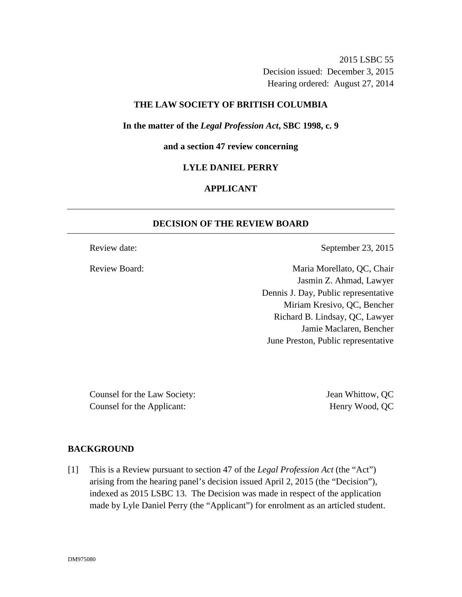2015 LSBC 55 Decision issued: December 3, 2015 Hearing ordered: August 27, 2014

### **THE LAW SOCIETY OF BRITISH COLUMBIA**

**In the matter of the** *Legal Profession Act***, SBC 1998, c. 9** 

**and a section 47 review concerning** 

#### **LYLE DANIEL PERRY**

## **APPLICANT**

### **DECISION OF THE REVIEW BOARD**

Review date: September 23, 2015

Review Board: Maria Morellato, QC, Chair Jasmin Z. Ahmad, Lawyer Dennis J. Day, Public representative Miriam Kresivo, QC, Bencher Richard B. Lindsay, QC, Lawyer Jamie Maclaren, Bencher June Preston, Public representative

Counsel for the Law Society: Jean Whittow, QC Counsel for the Applicant: Henry Wood, QC

## **BACKGROUND**

[1] This is a Review pursuant to section 47 of the *Legal Profession Act* (the "Act") arising from the hearing panel's decision issued April 2, 2015 (the "Decision"), indexed as 2015 LSBC 13. The Decision was made in respect of the application made by Lyle Daniel Perry (the "Applicant") for enrolment as an articled student.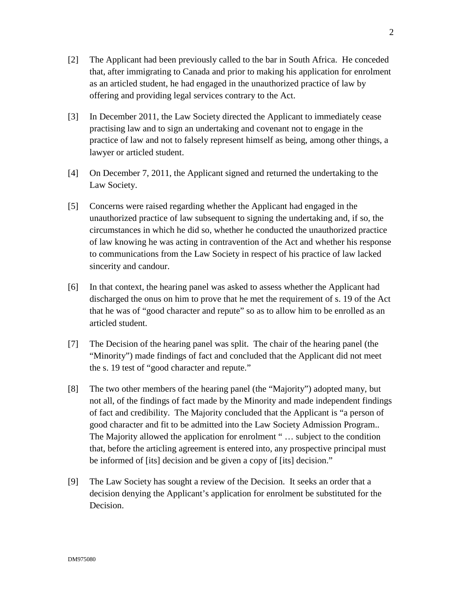- [2] The Applicant had been previously called to the bar in South Africa. He conceded that, after immigrating to Canada and prior to making his application for enrolment as an articled student, he had engaged in the unauthorized practice of law by offering and providing legal services contrary to the Act.
- [3] In December 2011, the Law Society directed the Applicant to immediately cease practising law and to sign an undertaking and covenant not to engage in the practice of law and not to falsely represent himself as being, among other things, a lawyer or articled student.
- [4] On December 7, 2011, the Applicant signed and returned the undertaking to the Law Society.
- [5] Concerns were raised regarding whether the Applicant had engaged in the unauthorized practice of law subsequent to signing the undertaking and, if so, the circumstances in which he did so, whether he conducted the unauthorized practice of law knowing he was acting in contravention of the Act and whether his response to communications from the Law Society in respect of his practice of law lacked sincerity and candour.
- [6] In that context, the hearing panel was asked to assess whether the Applicant had discharged the onus on him to prove that he met the requirement of s. 19 of the Act that he was of "good character and repute" so as to allow him to be enrolled as an articled student.
- [7] The Decision of the hearing panel was split. The chair of the hearing panel (the "Minority") made findings of fact and concluded that the Applicant did not meet the s. 19 test of "good character and repute."
- [8] The two other members of the hearing panel (the "Majority") adopted many, but not all, of the findings of fact made by the Minority and made independent findings of fact and credibility. The Majority concluded that the Applicant is "a person of good character and fit to be admitted into the Law Society Admission Program.. The Majority allowed the application for enrolment " … subject to the condition that, before the articling agreement is entered into, any prospective principal must be informed of [its] decision and be given a copy of [its] decision."
- [9] The Law Society has sought a review of the Decision. It seeks an order that a decision denying the Applicant's application for enrolment be substituted for the Decision.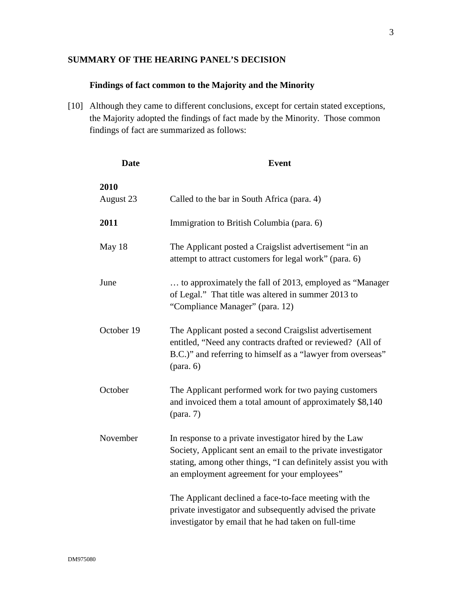## **SUMMARY OF THE HEARING PANEL'S DECISION**

## **Findings of fact common to the Majority and the Minority**

[10] Although they came to different conclusions, except for certain stated exceptions, the Majority adopted the findings of fact made by the Minority. Those common findings of fact are summarized as follows:

| <b>Date</b>       | <b>Event</b>                                                                                                                                                                                                                            |
|-------------------|-----------------------------------------------------------------------------------------------------------------------------------------------------------------------------------------------------------------------------------------|
| 2010<br>August 23 | Called to the bar in South Africa (para. 4)                                                                                                                                                                                             |
| 2011              | Immigration to British Columbia (para. 6)                                                                                                                                                                                               |
| May 18            | The Applicant posted a Craigslist advertisement "in an<br>attempt to attract customers for legal work" (para. 6)                                                                                                                        |
| June              | to approximately the fall of 2013, employed as "Manager"<br>of Legal." That title was altered in summer 2013 to<br>"Compliance Manager" (para. 12)                                                                                      |
| October 19        | The Applicant posted a second Craigslist advertisement<br>entitled, "Need any contracts drafted or reviewed? (All of<br>B.C.)" and referring to himself as a "lawyer from overseas"<br>$(\text{para. } 6)$                              |
| October           | The Applicant performed work for two paying customers<br>and invoiced them a total amount of approximately \$8,140<br>$(\text{para. } 7)$                                                                                               |
| November          | In response to a private investigator hired by the Law<br>Society, Applicant sent an email to the private investigator<br>stating, among other things, "I can definitely assist you with<br>an employment agreement for your employees" |
|                   | The Applicant declined a face-to-face meeting with the<br>private investigator and subsequently advised the private<br>investigator by email that he had taken on full-time                                                             |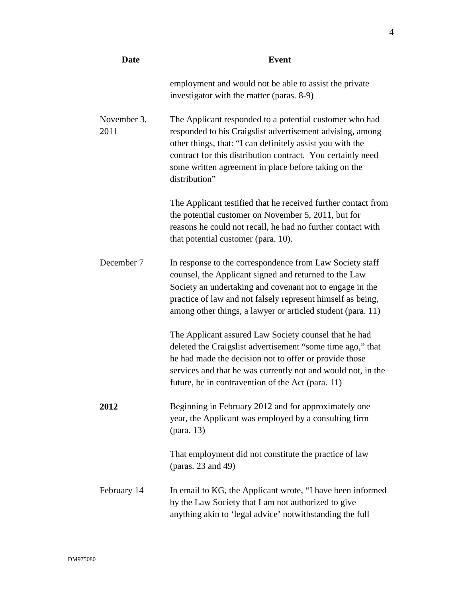| <b>Date</b>         | <b>Event</b>                                                                                                                                                                                                                                                                                                              |
|---------------------|---------------------------------------------------------------------------------------------------------------------------------------------------------------------------------------------------------------------------------------------------------------------------------------------------------------------------|
|                     | employment and would not be able to assist the private<br>investigator with the matter (paras. 8-9)                                                                                                                                                                                                                       |
| November 3,<br>2011 | The Applicant responded to a potential customer who had<br>responded to his Craigslist advertisement advising, among<br>other things, that: "I can definitely assist you with the<br>contract for this distribution contract. You certainly need<br>some written agreement in place before taking on the<br>distribution" |
|                     | The Applicant testified that he received further contact from<br>the potential customer on November 5, 2011, but for<br>reasons he could not recall, he had no further contact with<br>that potential customer (para. 10).                                                                                                |
| December 7          | In response to the correspondence from Law Society staff<br>counsel, the Applicant signed and returned to the Law<br>Society an undertaking and covenant not to engage in the<br>practice of law and not falsely represent himself as being,<br>among other things, a lawyer or articled student (para. 11)               |
|                     | The Applicant assured Law Society counsel that he had<br>deleted the Craigslist advertisement "some time ago," that<br>he had made the decision not to offer or provide those<br>services and that he was currently not and would not, in the<br>future, be in contravention of the Act (para. 11)                        |
| 2012                | Beginning in February 2012 and for approximately one<br>year, the Applicant was employed by a consulting firm<br>(para. 13)                                                                                                                                                                                               |
|                     | That employment did not constitute the practice of law<br>(paras. 23 and 49)                                                                                                                                                                                                                                              |
| February 14         | In email to KG, the Applicant wrote, "I have been informed<br>by the Law Society that I am not authorized to give<br>anything akin to 'legal advice' notwithstanding the full                                                                                                                                             |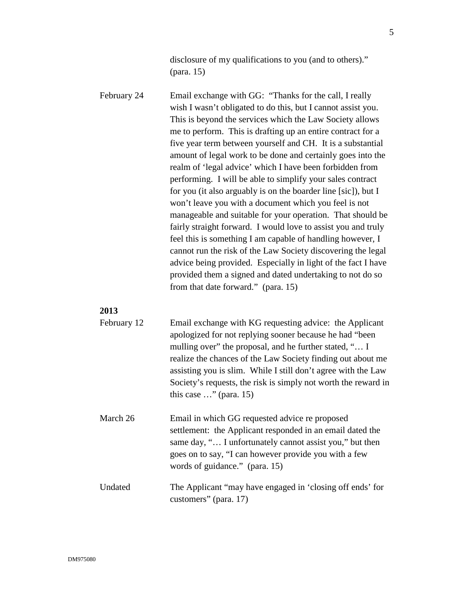disclosure of my qualifications to you (and to others)." (para. 15)

February 24 Email exchange with GG: "Thanks for the call, I really wish I wasn't obligated to do this, but I cannot assist you. This is beyond the services which the Law Society allows me to perform. This is drafting up an entire contract for a five year term between yourself and CH. It is a substantial amount of legal work to be done and certainly goes into the realm of 'legal advice' which I have been forbidden from performing. I will be able to simplify your sales contract for you (it also arguably is on the boarder line [sic]), but I won't leave you with a document which you feel is not manageable and suitable for your operation. That should be fairly straight forward. I would love to assist you and truly feel this is something I am capable of handling however, I cannot run the risk of the Law Society discovering the legal advice being provided. Especially in light of the fact I have provided them a signed and dated undertaking to not do so from that date forward." (para. 15)

#### **2013**

| February 12 | Email exchange with KG requesting advice: the Applicant<br>apologized for not replying sooner because he had "been<br>mulling over" the proposal, and he further stated, " I<br>realize the chances of the Law Society finding out about me<br>assisting you is slim. While I still don't agree with the Law<br>Society's requests, the risk is simply not worth the reward in<br>this case $\ldots$ " (para. 15) |
|-------------|-------------------------------------------------------------------------------------------------------------------------------------------------------------------------------------------------------------------------------------------------------------------------------------------------------------------------------------------------------------------------------------------------------------------|
| March 26    | Email in which GG requested advice re proposed<br>settlement: the Applicant responded in an email dated the<br>same day, " I unfortunately cannot assist you," but then<br>goes on to say, "I can however provide you with a few<br>words of guidance." (para. 15)                                                                                                                                                |
| Undated     | The Applicant "may have engaged in 'closing off ends' for<br>customers" (para. 17)                                                                                                                                                                                                                                                                                                                                |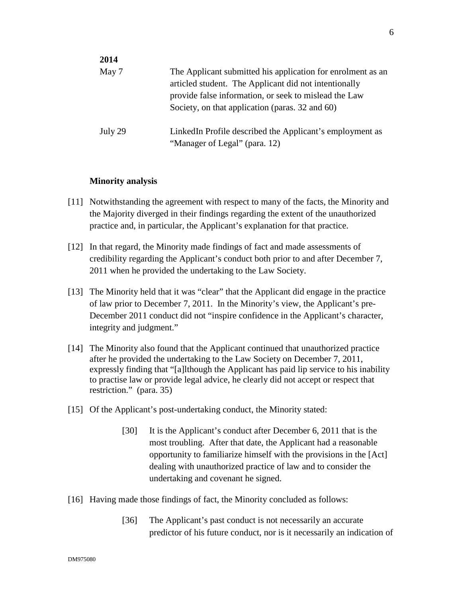| 2014    |                                                                                                                                                                                                                                  |
|---------|----------------------------------------------------------------------------------------------------------------------------------------------------------------------------------------------------------------------------------|
| May 7   | The Applicant submitted his application for enrolment as an<br>articled student. The Applicant did not intentionally<br>provide false information, or seek to mislead the Law<br>Society, on that application (paras. 32 and 60) |
| July 29 | LinkedIn Profile described the Applicant's employment as<br>"Manager of Legal" (para. 12)                                                                                                                                        |

#### **Minority analysis**

- [11] Notwithstanding the agreement with respect to many of the facts, the Minority and the Majority diverged in their findings regarding the extent of the unauthorized practice and, in particular, the Applicant's explanation for that practice.
- [12] In that regard, the Minority made findings of fact and made assessments of credibility regarding the Applicant's conduct both prior to and after December 7, 2011 when he provided the undertaking to the Law Society.
- [13] The Minority held that it was "clear" that the Applicant did engage in the practice of law prior to December 7, 2011. In the Minority's view, the Applicant's pre-December 2011 conduct did not "inspire confidence in the Applicant's character, integrity and judgment."
- [14] The Minority also found that the Applicant continued that unauthorized practice after he provided the undertaking to the Law Society on December 7, 2011, expressly finding that "[a]lthough the Applicant has paid lip service to his inability to practise law or provide legal advice, he clearly did not accept or respect that restriction." (para. 35)
- [15] Of the Applicant's post-undertaking conduct, the Minority stated:
	- [30] It is the Applicant's conduct after December 6, 2011 that is the most troubling. After that date, the Applicant had a reasonable opportunity to familiarize himself with the provisions in the [Act] dealing with unauthorized practice of law and to consider the undertaking and covenant he signed.
- [16] Having made those findings of fact, the Minority concluded as follows:
	- [36] The Applicant's past conduct is not necessarily an accurate predictor of his future conduct, nor is it necessarily an indication of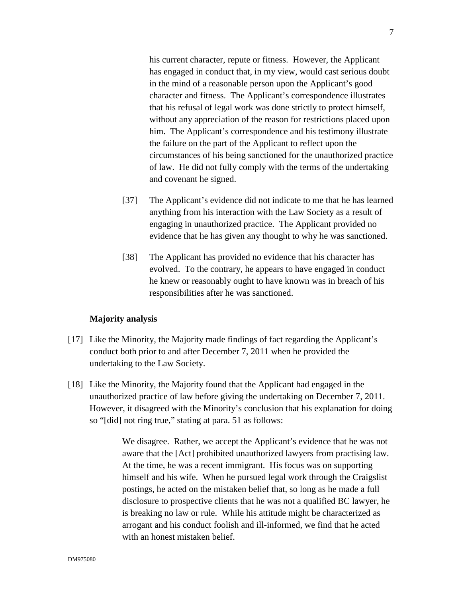his current character, repute or fitness. However, the Applicant has engaged in conduct that, in my view, would cast serious doubt in the mind of a reasonable person upon the Applicant's good character and fitness. The Applicant's correspondence illustrates that his refusal of legal work was done strictly to protect himself, without any appreciation of the reason for restrictions placed upon him. The Applicant's correspondence and his testimony illustrate the failure on the part of the Applicant to reflect upon the circumstances of his being sanctioned for the unauthorized practice of law. He did not fully comply with the terms of the undertaking and covenant he signed.

- [37] The Applicant's evidence did not indicate to me that he has learned anything from his interaction with the Law Society as a result of engaging in unauthorized practice. The Applicant provided no evidence that he has given any thought to why he was sanctioned.
- [38] The Applicant has provided no evidence that his character has evolved. To the contrary, he appears to have engaged in conduct he knew or reasonably ought to have known was in breach of his responsibilities after he was sanctioned.

#### **Majority analysis**

- [17] Like the Minority, the Majority made findings of fact regarding the Applicant's conduct both prior to and after December 7, 2011 when he provided the undertaking to the Law Society.
- [18] Like the Minority, the Majority found that the Applicant had engaged in the unauthorized practice of law before giving the undertaking on December 7, 2011. However, it disagreed with the Minority's conclusion that his explanation for doing so "[did] not ring true," stating at para. 51 as follows:

We disagree. Rather, we accept the Applicant's evidence that he was not aware that the [Act] prohibited unauthorized lawyers from practising law. At the time, he was a recent immigrant. His focus was on supporting himself and his wife. When he pursued legal work through the Craigslist postings, he acted on the mistaken belief that, so long as he made a full disclosure to prospective clients that he was not a qualified BC lawyer, he is breaking no law or rule. While his attitude might be characterized as arrogant and his conduct foolish and ill-informed, we find that he acted with an honest mistaken belief.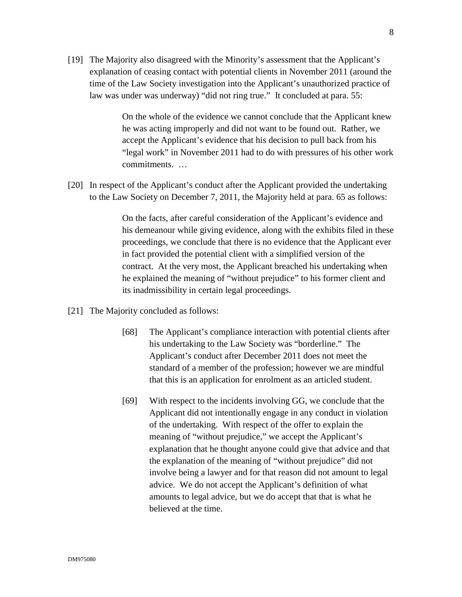[19] The Majority also disagreed with the Minority's assessment that the Applicant's explanation of ceasing contact with potential clients in November 2011 (around the time of the Law Society investigation into the Applicant's unauthorized practice of law was under was underway) "did not ring true." It concluded at para. 55:

> On the whole of the evidence we cannot conclude that the Applicant knew he was acting improperly and did not want to be found out. Rather, we accept the Applicant's evidence that his decision to pull back from his "legal work" in November 2011 had to do with pressures of his other work commitments. …

[20] In respect of the Applicant's conduct after the Applicant provided the undertaking to the Law Society on December 7, 2011, the Majority held at para. 65 as follows:

> On the facts, after careful consideration of the Applicant's evidence and his demeanour while giving evidence, along with the exhibits filed in these proceedings, we conclude that there is no evidence that the Applicant ever in fact provided the potential client with a simplified version of the contract. At the very most, the Applicant breached his undertaking when he explained the meaning of "without prejudice" to his former client and its inadmissibility in certain legal proceedings.

- [21] The Majority concluded as follows:
	- [68] The Applicant's compliance interaction with potential clients after his undertaking to the Law Society was "borderline." The Applicant's conduct after December 2011 does not meet the standard of a member of the profession; however we are mindful that this is an application for enrolment as an articled student.
	- [69] With respect to the incidents involving GG, we conclude that the Applicant did not intentionally engage in any conduct in violation of the undertaking. With respect of the offer to explain the meaning of "without prejudice," we accept the Applicant's explanation that he thought anyone could give that advice and that the explanation of the meaning of "without prejudice" did not involve being a lawyer and for that reason did not amount to legal advice. We do not accept the Applicant's definition of what amounts to legal advice, but we do accept that that is what he believed at the time.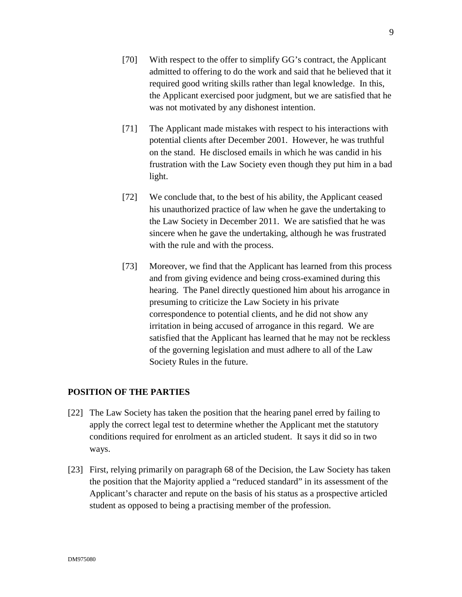- [70] With respect to the offer to simplify GG's contract, the Applicant admitted to offering to do the work and said that he believed that it required good writing skills rather than legal knowledge. In this, the Applicant exercised poor judgment, but we are satisfied that he was not motivated by any dishonest intention.
- [71] The Applicant made mistakes with respect to his interactions with potential clients after December 2001. However, he was truthful on the stand. He disclosed emails in which he was candid in his frustration with the Law Society even though they put him in a bad light.
- [72] We conclude that, to the best of his ability, the Applicant ceased his unauthorized practice of law when he gave the undertaking to the Law Society in December 2011. We are satisfied that he was sincere when he gave the undertaking, although he was frustrated with the rule and with the process.
- [73] Moreover, we find that the Applicant has learned from this process and from giving evidence and being cross-examined during this hearing. The Panel directly questioned him about his arrogance in presuming to criticize the Law Society in his private correspondence to potential clients, and he did not show any irritation in being accused of arrogance in this regard. We are satisfied that the Applicant has learned that he may not be reckless of the governing legislation and must adhere to all of the Law Society Rules in the future.

#### **POSITION OF THE PARTIES**

- [22] The Law Society has taken the position that the hearing panel erred by failing to apply the correct legal test to determine whether the Applicant met the statutory conditions required for enrolment as an articled student. It says it did so in two ways.
- [23] First, relying primarily on paragraph 68 of the Decision, the Law Society has taken the position that the Majority applied a "reduced standard" in its assessment of the Applicant's character and repute on the basis of his status as a prospective articled student as opposed to being a practising member of the profession.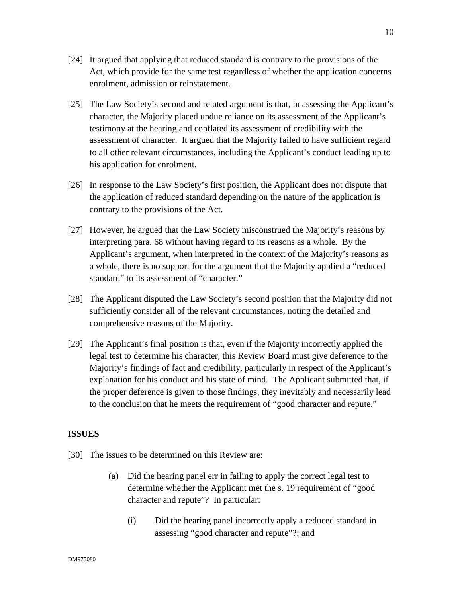- [24] It argued that applying that reduced standard is contrary to the provisions of the Act, which provide for the same test regardless of whether the application concerns enrolment, admission or reinstatement.
- [25] The Law Society's second and related argument is that, in assessing the Applicant's character, the Majority placed undue reliance on its assessment of the Applicant's testimony at the hearing and conflated its assessment of credibility with the assessment of character. It argued that the Majority failed to have sufficient regard to all other relevant circumstances, including the Applicant's conduct leading up to his application for enrolment.
- [26] In response to the Law Society's first position, the Applicant does not dispute that the application of reduced standard depending on the nature of the application is contrary to the provisions of the Act.
- [27] However, he argued that the Law Society misconstrued the Majority's reasons by interpreting para. 68 without having regard to its reasons as a whole. By the Applicant's argument, when interpreted in the context of the Majority's reasons as a whole, there is no support for the argument that the Majority applied a "reduced standard" to its assessment of "character."
- [28] The Applicant disputed the Law Society's second position that the Majority did not sufficiently consider all of the relevant circumstances, noting the detailed and comprehensive reasons of the Majority.
- [29] The Applicant's final position is that, even if the Majority incorrectly applied the legal test to determine his character, this Review Board must give deference to the Majority's findings of fact and credibility, particularly in respect of the Applicant's explanation for his conduct and his state of mind. The Applicant submitted that, if the proper deference is given to those findings, they inevitably and necessarily lead to the conclusion that he meets the requirement of "good character and repute."

### **ISSUES**

- [30] The issues to be determined on this Review are:
	- (a) Did the hearing panel err in failing to apply the correct legal test to determine whether the Applicant met the s. 19 requirement of "good character and repute"? In particular:
		- (i) Did the hearing panel incorrectly apply a reduced standard in assessing "good character and repute"?; and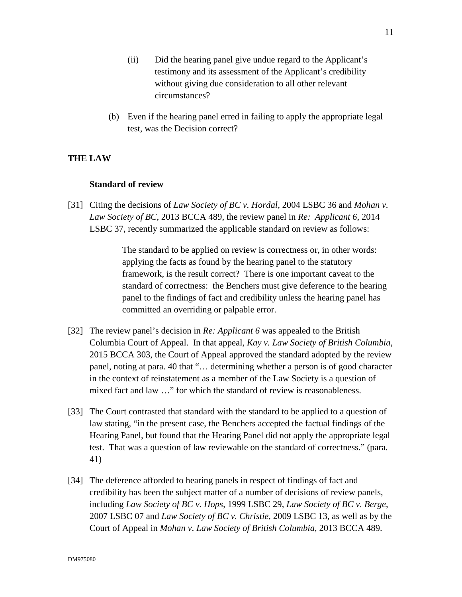- (ii) Did the hearing panel give undue regard to the Applicant's testimony and its assessment of the Applicant's credibility without giving due consideration to all other relevant circumstances?
- (b) Even if the hearing panel erred in failing to apply the appropriate legal test, was the Decision correct?

### **THE LAW**

#### **Standard of review**

[31] Citing the decisions of *Law Society of BC v. Hordal,* 2004 LSBC 36 and *Mohan v. Law Society of BC*, 2013 BCCA 489, the review panel in *Re: Applicant 6*, 2014 LSBC 37, recently summarized the applicable standard on review as follows:

> The standard to be applied on review is correctness or, in other words: applying the facts as found by the hearing panel to the statutory framework, is the result correct? There is one important caveat to the standard of correctness: the Benchers must give deference to the hearing panel to the findings of fact and credibility unless the hearing panel has committed an overriding or palpable error.

- [32] The review panel's decision in *Re: Applicant 6* was appealed to the British Columbia Court of Appeal. In that appeal, *Kay v. Law Society of British Columbia*, 2015 BCCA 303, the Court of Appeal approved the standard adopted by the review panel, noting at para. 40 that "… determining whether a person is of good character in the context of reinstatement as a member of the Law Society is a question of mixed fact and law …" for which the standard of review is reasonableness.
- [33] The Court contrasted that standard with the standard to be applied to a question of law stating, "in the present case, the Benchers accepted the factual findings of the Hearing Panel, but found that the Hearing Panel did not apply the appropriate legal test. That was a question of law reviewable on the standard of correctness." (para. 41)
- [34] The deference afforded to hearing panels in respect of findings of fact and credibility has been the subject matter of a number of decisions of review panels, including *Law Society of BC v. Hops,* 1999 LSBC 29, *Law Society of BC v. Berge*, 2007 LSBC 07 and *Law Society of BC v. Christie*, 2009 LSBC 13, as well as by the Court of Appeal in *Mohan v*. *Law Society of British Columbia*, 2013 BCCA 489.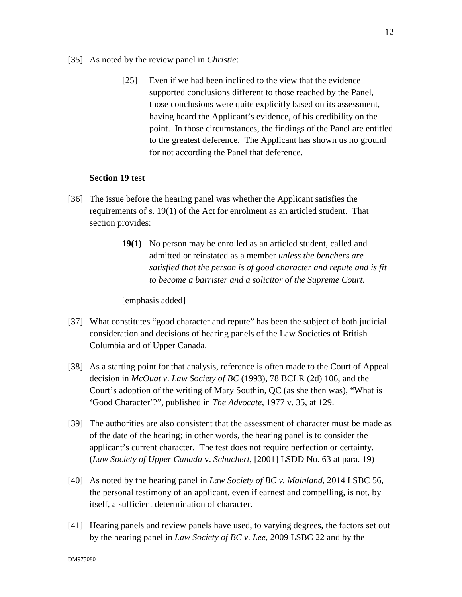- [35] As noted by the review panel in *Christie*:
	- [25] Even if we had been inclined to the view that the evidence supported conclusions different to those reached by the Panel, those conclusions were quite explicitly based on its assessment, having heard the Applicant's evidence, of his credibility on the point. In those circumstances, the findings of the Panel are entitled to the greatest deference. The Applicant has shown us no ground for not according the Panel that deference.

#### **Section 19 test**

- [36] The issue before the hearing panel was whether the Applicant satisfies the requirements of s. 19(1) of the Act for enrolment as an articled student. That section provides:
	- **19(1)** No person may be enrolled as an articled student, called and admitted or reinstated as a member *unless the benchers are satisfied that the person is of good character and repute and is fit to become a barrister and a solicitor of the Supreme Court*.

[emphasis added]

- [37] What constitutes "good character and repute" has been the subject of both judicial consideration and decisions of hearing panels of the Law Societies of British Columbia and of Upper Canada.
- [38] As a starting point for that analysis, reference is often made to the Court of Appeal decision in *McOuat v*. *Law Society of BC* (1993), 78 BCLR (2d) 106, and the Court's adoption of the writing of Mary Southin, QC (as she then was), "What is 'Good Character'?", published in *The Advocate*, 1977 v. 35, at 129.
- [39] The authorities are also consistent that the assessment of character must be made as of the date of the hearing; in other words, the hearing panel is to consider the applicant's current character. The test does not require perfection or certainty. (*Law Society of Upper Canada* v. *Schuchert*, [2001] LSDD No. 63 at para. 19)
- [40] As noted by the hearing panel in *Law Society of BC v. Mainland,* 2014 LSBC 56, the personal testimony of an applicant, even if earnest and compelling, is not, by itself, a sufficient determination of character.
- [41] Hearing panels and review panels have used, to varying degrees, the factors set out by the hearing panel in *Law Society of BC v. Lee*, 2009 LSBC 22 and by the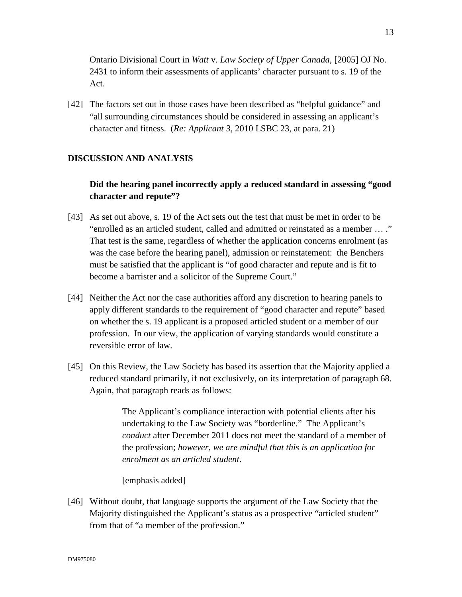Ontario Divisional Court in *Watt* v. *Law Society of Upper Canada*, [2005] OJ No. 2431 to inform their assessments of applicants' character pursuant to s. 19 of the Act.

[42] The factors set out in those cases have been described as "helpful guidance" and "all surrounding circumstances should be considered in assessing an applicant's character and fitness. (*Re: Applicant 3,* 2010 LSBC 23, at para. 21)

### **DISCUSSION AND ANALYSIS**

## **Did the hearing panel incorrectly apply a reduced standard in assessing "good character and repute"?**

- [43] As set out above, s. 19 of the Act sets out the test that must be met in order to be "enrolled as an articled student, called and admitted or reinstated as a member … ." That test is the same, regardless of whether the application concerns enrolment (as was the case before the hearing panel), admission or reinstatement: the Benchers must be satisfied that the applicant is "of good character and repute and is fit to become a barrister and a solicitor of the Supreme Court."
- [44] Neither the Act nor the case authorities afford any discretion to hearing panels to apply different standards to the requirement of "good character and repute" based on whether the s. 19 applicant is a proposed articled student or a member of our profession. In our view, the application of varying standards would constitute a reversible error of law.
- [45] On this Review, the Law Society has based its assertion that the Majority applied a reduced standard primarily, if not exclusively, on its interpretation of paragraph 68. Again, that paragraph reads as follows:

The Applicant's compliance interaction with potential clients after his undertaking to the Law Society was "borderline." The Applicant's *conduct* after December 2011 does not meet the standard of a member of the profession; *however, we are mindful that this is an application for enrolment as an articled student*.

[emphasis added]

[46] Without doubt, that language supports the argument of the Law Society that the Majority distinguished the Applicant's status as a prospective "articled student" from that of "a member of the profession."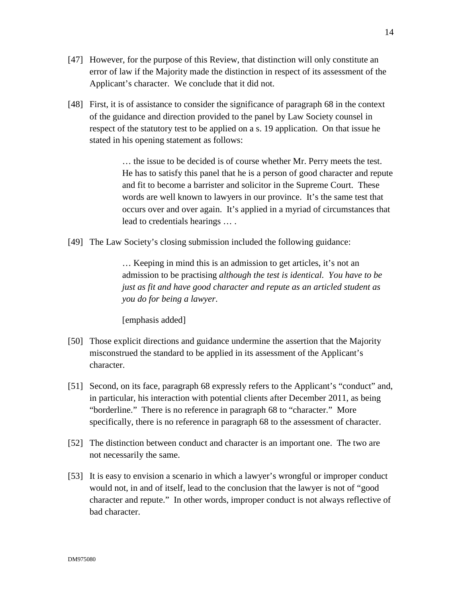- [47] However, for the purpose of this Review, that distinction will only constitute an error of law if the Majority made the distinction in respect of its assessment of the Applicant's character. We conclude that it did not.
- [48] First, it is of assistance to consider the significance of paragraph 68 in the context of the guidance and direction provided to the panel by Law Society counsel in respect of the statutory test to be applied on a s. 19 application. On that issue he stated in his opening statement as follows:

… the issue to be decided is of course whether Mr. Perry meets the test. He has to satisfy this panel that he is a person of good character and repute and fit to become a barrister and solicitor in the Supreme Court. These words are well known to lawyers in our province. It's the same test that occurs over and over again. It's applied in a myriad of circumstances that lead to credentials hearings … .

[49] The Law Society's closing submission included the following guidance:

… Keeping in mind this is an admission to get articles, it's not an admission to be practising *although the test is identical. You have to be just as fit and have good character and repute as an articled student as you do for being a lawyer*.

[emphasis added]

- [50] Those explicit directions and guidance undermine the assertion that the Majority misconstrued the standard to be applied in its assessment of the Applicant's character.
- [51] Second, on its face, paragraph 68 expressly refers to the Applicant's "conduct" and, in particular, his interaction with potential clients after December 2011, as being "borderline." There is no reference in paragraph 68 to "character." More specifically, there is no reference in paragraph 68 to the assessment of character.
- [52] The distinction between conduct and character is an important one. The two are not necessarily the same.
- [53] It is easy to envision a scenario in which a lawyer's wrongful or improper conduct would not, in and of itself, lead to the conclusion that the lawyer is not of "good character and repute." In other words, improper conduct is not always reflective of bad character.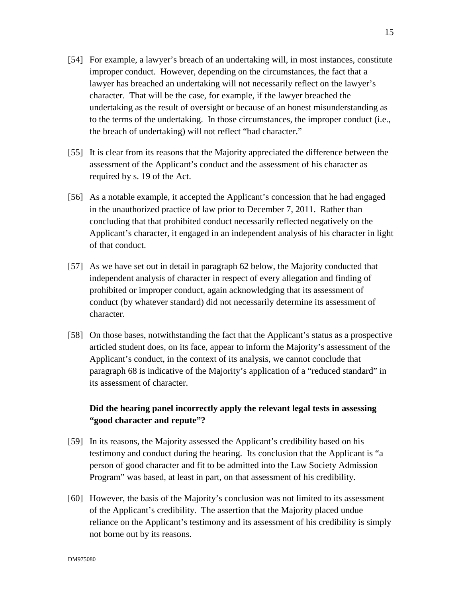- [54] For example, a lawyer's breach of an undertaking will, in most instances, constitute improper conduct. However, depending on the circumstances, the fact that a lawyer has breached an undertaking will not necessarily reflect on the lawyer's character. That will be the case, for example, if the lawyer breached the undertaking as the result of oversight or because of an honest misunderstanding as to the terms of the undertaking. In those circumstances, the improper conduct (i.e., the breach of undertaking) will not reflect "bad character."
- [55] It is clear from its reasons that the Majority appreciated the difference between the assessment of the Applicant's conduct and the assessment of his character as required by s. 19 of the Act.
- [56] As a notable example, it accepted the Applicant's concession that he had engaged in the unauthorized practice of law prior to December 7, 2011. Rather than concluding that that prohibited conduct necessarily reflected negatively on the Applicant's character, it engaged in an independent analysis of his character in light of that conduct.
- [57] As we have set out in detail in paragraph 62 below, the Majority conducted that independent analysis of character in respect of every allegation and finding of prohibited or improper conduct, again acknowledging that its assessment of conduct (by whatever standard) did not necessarily determine its assessment of character.
- [58] On those bases, notwithstanding the fact that the Applicant's status as a prospective articled student does, on its face, appear to inform the Majority's assessment of the Applicant's conduct, in the context of its analysis, we cannot conclude that paragraph 68 is indicative of the Majority's application of a "reduced standard" in its assessment of character.

## **Did the hearing panel incorrectly apply the relevant legal tests in assessing "good character and repute"?**

- [59] In its reasons, the Majority assessed the Applicant's credibility based on his testimony and conduct during the hearing. Its conclusion that the Applicant is "a person of good character and fit to be admitted into the Law Society Admission Program" was based, at least in part, on that assessment of his credibility.
- [60] However, the basis of the Majority's conclusion was not limited to its assessment of the Applicant's credibility. The assertion that the Majority placed undue reliance on the Applicant's testimony and its assessment of his credibility is simply not borne out by its reasons.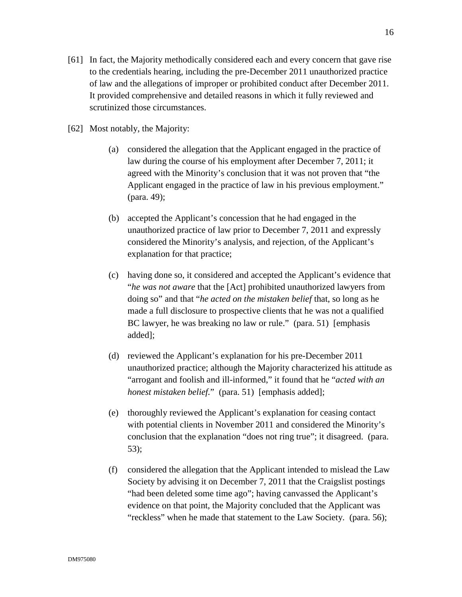- [61] In fact, the Majority methodically considered each and every concern that gave rise to the credentials hearing, including the pre-December 2011 unauthorized practice of law and the allegations of improper or prohibited conduct after December 2011. It provided comprehensive and detailed reasons in which it fully reviewed and scrutinized those circumstances.
- [62] Most notably, the Majority:
	- (a) considered the allegation that the Applicant engaged in the practice of law during the course of his employment after December 7, 2011; it agreed with the Minority's conclusion that it was not proven that "the Applicant engaged in the practice of law in his previous employment." (para. 49);
	- (b) accepted the Applicant's concession that he had engaged in the unauthorized practice of law prior to December 7, 2011 and expressly considered the Minority's analysis, and rejection, of the Applicant's explanation for that practice;
	- (c) having done so, it considered and accepted the Applicant's evidence that "*he was not aware* that the [Act] prohibited unauthorized lawyers from doing so" and that "*he acted on the mistaken belief* that, so long as he made a full disclosure to prospective clients that he was not a qualified BC lawyer, he was breaking no law or rule." (para. 51) [emphasis added];
	- (d) reviewed the Applicant's explanation for his pre-December 2011 unauthorized practice; although the Majority characterized his attitude as "arrogant and foolish and ill-informed," it found that he "*acted with an honest mistaken belief.*"(para. 51) [emphasis added];
	- (e) thoroughly reviewed the Applicant's explanation for ceasing contact with potential clients in November 2011 and considered the Minority's conclusion that the explanation "does not ring true"; it disagreed. (para. 53);
	- (f) considered the allegation that the Applicant intended to mislead the Law Society by advising it on December 7, 2011 that the Craigslist postings "had been deleted some time ago"; having canvassed the Applicant's evidence on that point, the Majority concluded that the Applicant was "reckless" when he made that statement to the Law Society. (para. 56);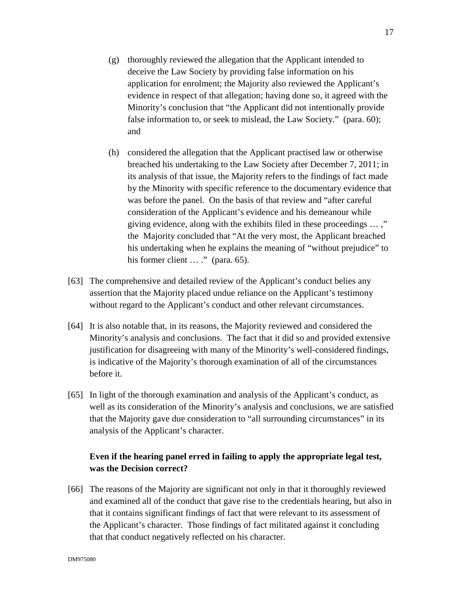- (g) thoroughly reviewed the allegation that the Applicant intended to deceive the Law Society by providing false information on his application for enrolment; the Majority also reviewed the Applicant's evidence in respect of that allegation; having done so, it agreed with the Minority's conclusion that "the Applicant did not intentionally provide false information to, or seek to mislead, the Law Society." (para. 60); and
- (h) considered the allegation that the Applicant practised law or otherwise breached his undertaking to the Law Society after December 7, 2011; in its analysis of that issue, the Majority refers to the findings of fact made by the Minority with specific reference to the documentary evidence that was before the panel. On the basis of that review and "after careful consideration of the Applicant's evidence and his demeanour while giving evidence, along with the exhibits filed in these proceedings … ," the Majority concluded that "At the very most, the Applicant breached his undertaking when he explains the meaning of "without prejudice" to his former client ... ." (para. 65).
- [63] The comprehensive and detailed review of the Applicant's conduct belies any assertion that the Majority placed undue reliance on the Applicant's testimony without regard to the Applicant's conduct and other relevant circumstances.
- [64] It is also notable that, in its reasons, the Majority reviewed and considered the Minority's analysis and conclusions. The fact that it did so and provided extensive justification for disagreeing with many of the Minority's well-considered findings, is indicative of the Majority's thorough examination of all of the circumstances before it.
- [65] In light of the thorough examination and analysis of the Applicant's conduct, as well as its consideration of the Minority's analysis and conclusions, we are satisfied that the Majority gave due consideration to "all surrounding circumstances" in its analysis of the Applicant's character.

# **Even if the hearing panel erred in failing to apply the appropriate legal test, was the Decision correct?**

[66] The reasons of the Majority are significant not only in that it thoroughly reviewed and examined all of the conduct that gave rise to the credentials hearing, but also in that it contains significant findings of fact that were relevant to its assessment of the Applicant's character. Those findings of fact militated against it concluding that that conduct negatively reflected on his character.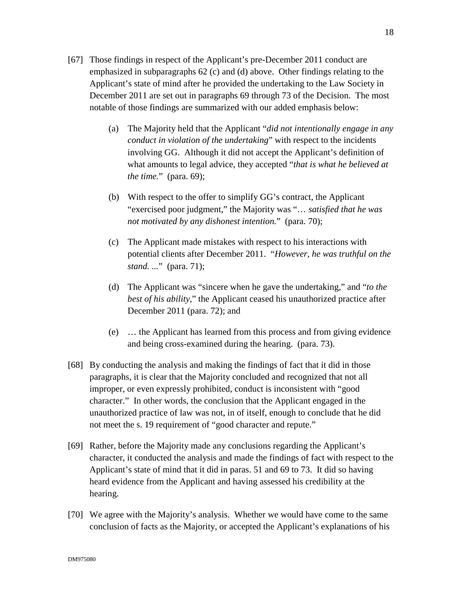- [67] Those findings in respect of the Applicant's pre-December 2011 conduct are emphasized in subparagraphs 62 (c) and (d) above. Other findings relating to the Applicant's state of mind after he provided the undertaking to the Law Society in December 2011 are set out in paragraphs 69 through 73 of the Decision. The most notable of those findings are summarized with our added emphasis below:
	- (a) The Majority held that the Applicant "*did not intentionally engage in any conduct in violation of the undertaking*" with respect to the incidents involving GG. Although it did not accept the Applicant's definition of what amounts to legal advice, they accepted "*that is what he believed at the time.*" (para. 69);
	- (b) With respect to the offer to simplify GG's contract, the Applicant "exercised poor judgment," the Majority was "… *satisfied that he was not motivated by any dishonest intention.*" (para. 70);
	- (c) The Applicant made mistakes with respect to his interactions with potential clients after December 2011. "*However, he was truthful on the stand. ...*" (para. 71);
	- (d) The Applicant was "sincere when he gave the undertaking," and "*to the best of his ability*," the Applicant ceased his unauthorized practice after December 2011 (para. 72); and
	- (e) … the Applicant has learned from this process and from giving evidence and being cross-examined during the hearing. (para. 73).
- [68] By conducting the analysis and making the findings of fact that it did in those paragraphs, it is clear that the Majority concluded and recognized that not all improper, or even expressly prohibited, conduct is inconsistent with "good character." In other words, the conclusion that the Applicant engaged in the unauthorized practice of law was not, in of itself, enough to conclude that he did not meet the s. 19 requirement of "good character and repute."
- [69] Rather, before the Majority made any conclusions regarding the Applicant's character, it conducted the analysis and made the findings of fact with respect to the Applicant's state of mind that it did in paras. 51 and 69 to 73. It did so having heard evidence from the Applicant and having assessed his credibility at the hearing.
- [70] We agree with the Majority's analysis. Whether we would have come to the same conclusion of facts as the Majority, or accepted the Applicant's explanations of his